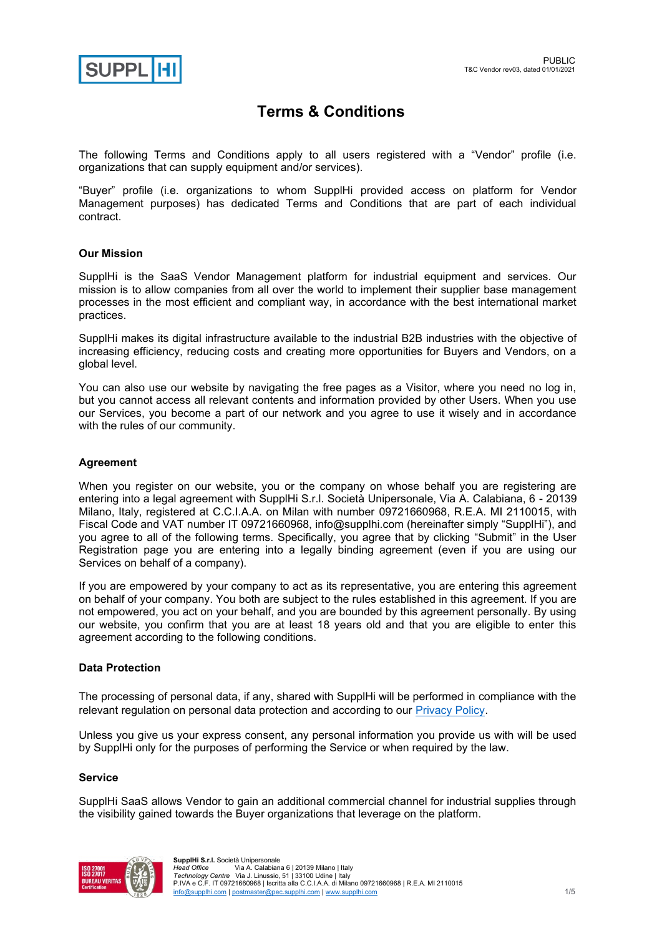

# **Terms & Conditions**

The following Terms and Conditions apply to all users registered with a "Vendor" profile (i.e. organizations that can supply equipment and/or services).

"Buyer" profile (i.e. organizations to whom SupplHi provided access on platform for Vendor Management purposes) has dedicated Terms and Conditions that are part of each individual contract.

# **Our Mission**

SupplHi is the SaaS Vendor Management platform for industrial equipment and services. Our mission is to allow companies from all over the world to implement their supplier base management processes in the most efficient and compliant way, in accordance with the best international market practices.

SupplHi makes its digital infrastructure available to the industrial B2B industries with the objective of increasing efficiency, reducing costs and creating more opportunities for Buyers and Vendors, on a global level.

You can also use our website by navigating the free pages as a Visitor, where you need no log in, but you cannot access all relevant contents and information provided by other Users. When you use our Services, you become a part of our network and you agree to use it wisely and in accordance with the rules of our community.

# **Agreement**

When you register on our website, you or the company on whose behalf you are registering are entering into a legal agreement with SupplHi S.r.l. Società Unipersonale, Via A. Calabiana, 6 - 20139 Milano, Italy, registered at C.C.I.A.A. on Milan with number 09721660968, R.E.A. MI 2110015, with Fiscal Code and VAT number IT 09721660968, info@supplhi.com (hereinafter simply "SupplHi"), and you agree to all of the following terms. Specifically, you agree that by clicking "Submit" in the User Registration page you are entering into a legally binding agreement (even if you are using our Services on behalf of a company).

If you are empowered by your company to act as its representative, you are entering this agreement on behalf of your company. You both are subject to the rules established in this agreement. If you are not empowered, you act on your behalf, and you are bounded by this agreement personally. By using our website, you confirm that you are at least 18 years old and that you are eligible to enter this agreement according to the following conditions.

## **Data Protection**

The processing of personal data, if any, shared with SupplHi will be performed in compliance with the relevant regulation on personal data protection and according to our **Privacy Policy**.

Unless you give us your express consent, any personal information you provide us with will be used by SupplHi only for the purposes of performing the Service or when required by the law.

## **Service**

SupplHi SaaS allows Vendor to gain an additional commercial channel for industrial supplies through the visibility gained towards the Buyer organizations that leverage on the platform.

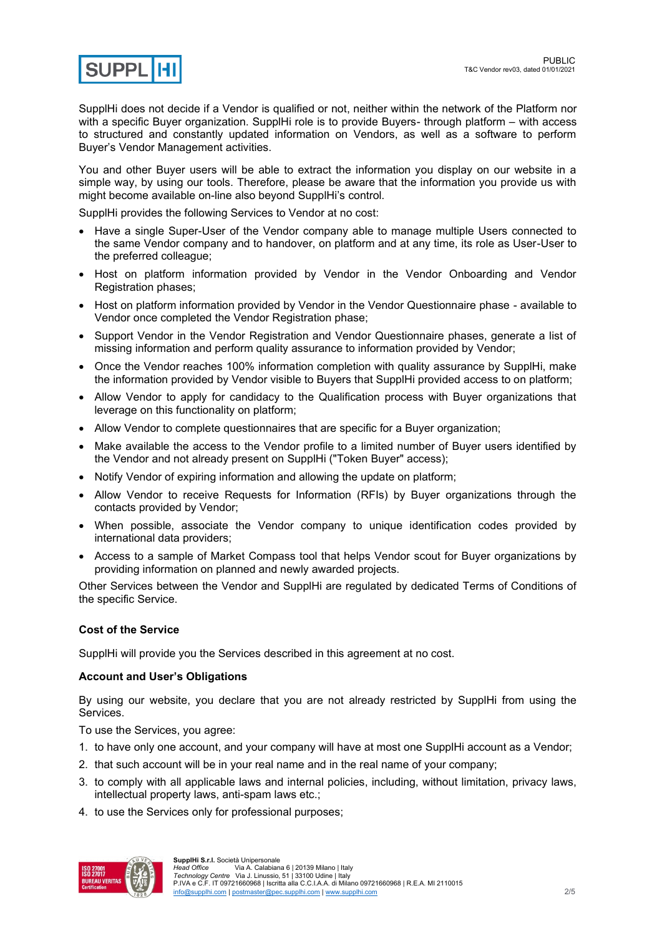

SupplHi does not decide if a Vendor is qualified or not, neither within the network of the Platform nor with a specific Buyer organization. SupplHi role is to provide Buyers- through platform – with access to structured and constantly updated information on Vendors, as well as a software to perform Buyer's Vendor Management activities.

You and other Buyer users will be able to extract the information you display on our website in a simple way, by using our tools. Therefore, please be aware that the information you provide us with might become available on-line also beyond SupplHi's control.

SupplHi provides the following Services to Vendor at no cost:

- Have a single Super-User of the Vendor company able to manage multiple Users connected to the same Vendor company and to handover, on platform and at any time, its role as User-User to the preferred colleague;
- Host on platform information provided by Vendor in the Vendor Onboarding and Vendor Registration phases;
- Host on platform information provided by Vendor in the Vendor Questionnaire phase available to Vendor once completed the Vendor Registration phase;
- Support Vendor in the Vendor Registration and Vendor Questionnaire phases, generate a list of missing information and perform quality assurance to information provided by Vendor;
- Once the Vendor reaches 100% information completion with quality assurance by SupplHi, make the information provided by Vendor visible to Buyers that SupplHi provided access to on platform;
- Allow Vendor to apply for candidacy to the Qualification process with Buyer organizations that leverage on this functionality on platform;
- Allow Vendor to complete questionnaires that are specific for a Buyer organization:
- Make available the access to the Vendor profile to a limited number of Buyer users identified by the Vendor and not already present on SupplHi ("Token Buyer" access);
- Notify Vendor of expiring information and allowing the update on platform;
- Allow Vendor to receive Requests for Information (RFIs) by Buyer organizations through the contacts provided by Vendor;
- When possible, associate the Vendor company to unique identification codes provided by international data providers;
- Access to a sample of Market Compass tool that helps Vendor scout for Buyer organizations by providing information on planned and newly awarded projects.

Other Services between the Vendor and SupplHi are regulated by dedicated Terms of Conditions of the specific Service.

# **Cost of the Service**

SupplHi will provide you the Services described in this agreement at no cost.

## **Account and User's Obligations**

By using our website, you declare that you are not already restricted by SupplHi from using the Services.

To use the Services, you agree:

- 1. to have only one account, and your company will have at most one SupplHi account as a Vendor;
- 2. that such account will be in your real name and in the real name of your company;
- 3. to comply with all applicable laws and internal policies, including, without limitation, privacy laws, intellectual property laws, anti-spam laws etc.;
- 4. to use the Services only for professional purposes;

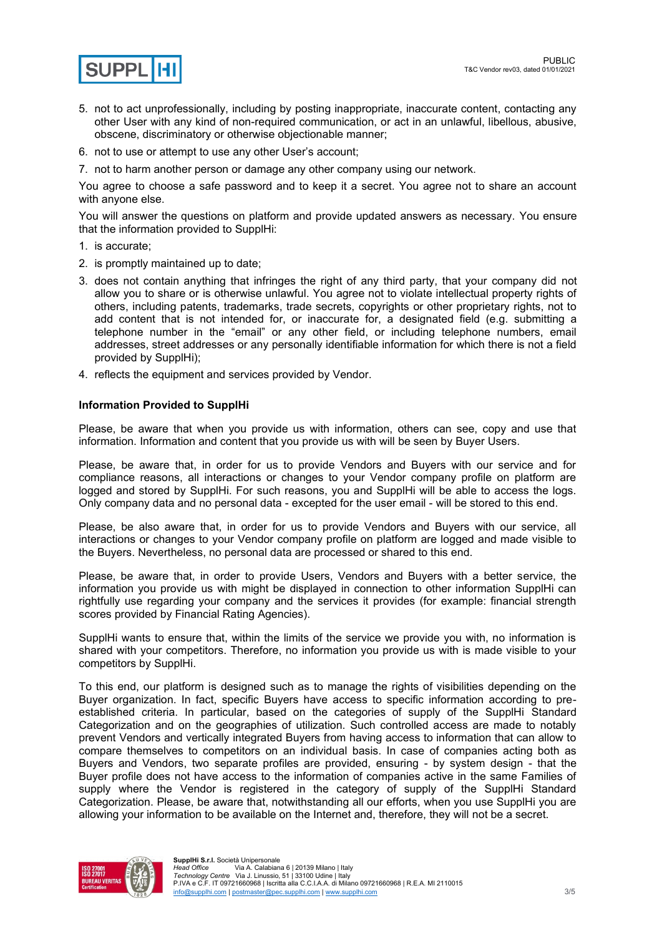

- 5. not to act unprofessionally, including by posting inappropriate, inaccurate content, contacting any other User with any kind of non-required communication, or act in an unlawful, libellous, abusive, obscene, discriminatory or otherwise objectionable manner;
- 6. not to use or attempt to use any other User's account;
- 7. not to harm another person or damage any other company using our network.

You agree to choose a safe password and to keep it a secret. You agree not to share an account with anyone else.

You will answer the questions on platform and provide updated answers as necessary. You ensure that the information provided to SupplHi:

- 1. is accurate;
- 2. is promptly maintained up to date;
- 3. does not contain anything that infringes the right of any third party, that your company did not allow you to share or is otherwise unlawful. You agree not to violate intellectual property rights of others, including patents, trademarks, trade secrets, copyrights or other proprietary rights, not to add content that is not intended for, or inaccurate for, a designated field (e.g. submitting a telephone number in the "email" or any other field, or including telephone numbers, email addresses, street addresses or any personally identifiable information for which there is not a field provided by SupplHi);
- 4. reflects the equipment and services provided by Vendor.

# **Information Provided to SupplHi**

Please, be aware that when you provide us with information, others can see, copy and use that information. Information and content that you provide us with will be seen by Buyer Users.

Please, be aware that, in order for us to provide Vendors and Buyers with our service and for compliance reasons, all interactions or changes to your Vendor company profile on platform are logged and stored by SupplHi. For such reasons, you and SupplHi will be able to access the logs. Only company data and no personal data - excepted for the user email - will be stored to this end.

Please, be also aware that, in order for us to provide Vendors and Buyers with our service, all interactions or changes to your Vendor company profile on platform are logged and made visible to the Buyers. Nevertheless, no personal data are processed or shared to this end.

Please, be aware that, in order to provide Users, Vendors and Buyers with a better service, the information you provide us with might be displayed in connection to other information SupplHi can rightfully use regarding your company and the services it provides (for example: financial strength scores provided by Financial Rating Agencies).

SupplHi wants to ensure that, within the limits of the service we provide you with, no information is shared with your competitors. Therefore, no information you provide us with is made visible to your competitors by SupplHi.

To this end, our platform is designed such as to manage the rights of visibilities depending on the Buyer organization. In fact, specific Buyers have access to specific information according to preestablished criteria. In particular, based on the categories of supply of the SupplHi Standard Categorization and on the geographies of utilization. Such controlled access are made to notably prevent Vendors and vertically integrated Buyers from having access to information that can allow to compare themselves to competitors on an individual basis. In case of companies acting both as Buyers and Vendors, two separate profiles are provided, ensuring - by system design - that the Buyer profile does not have access to the information of companies active in the same Families of supply where the Vendor is registered in the category of supply of the SupplHi Standard Categorization. Please, be aware that, notwithstanding all our efforts, when you use SupplHi you are allowing your information to be available on the Internet and, therefore, they will not be a secret.

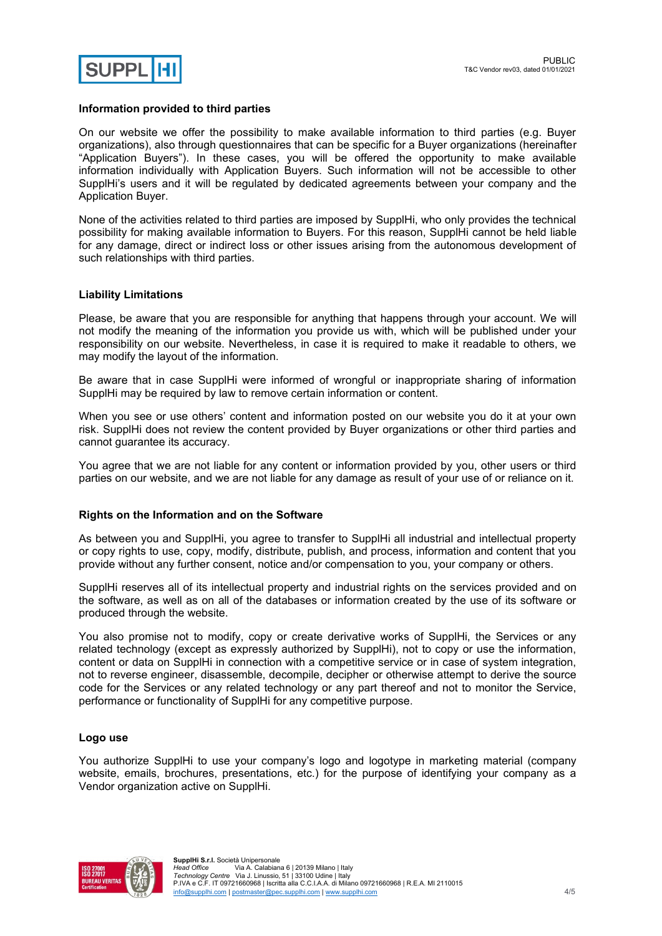

## **Information provided to third parties**

On our website we offer the possibility to make available information to third parties (e.g. Buyer organizations), also through questionnaires that can be specific for a Buyer organizations (hereinafter "Application Buyers"). In these cases, you will be offered the opportunity to make available information individually with Application Buyers. Such information will not be accessible to other SupplHi's users and it will be regulated by dedicated agreements between your company and the Application Buyer.

None of the activities related to third parties are imposed by SupplHi, who only provides the technical possibility for making available information to Buyers. For this reason, SupplHi cannot be held liable for any damage, direct or indirect loss or other issues arising from the autonomous development of such relationships with third parties.

#### **Liability Limitations**

Please, be aware that you are responsible for anything that happens through your account. We will not modify the meaning of the information you provide us with, which will be published under your responsibility on our website. Nevertheless, in case it is required to make it readable to others, we may modify the layout of the information.

Be aware that in case SupplHi were informed of wrongful or inappropriate sharing of information SupplHi may be required by law to remove certain information or content.

When you see or use others' content and information posted on our website you do it at your own risk. SupplHi does not review the content provided by Buyer organizations or other third parties and cannot guarantee its accuracy.

You agree that we are not liable for any content or information provided by you, other users or third parties on our website, and we are not liable for any damage as result of your use of or reliance on it.

#### **Rights on the Information and on the Software**

As between you and SupplHi, you agree to transfer to SupplHi all industrial and intellectual property or copy rights to use, copy, modify, distribute, publish, and process, information and content that you provide without any further consent, notice and/or compensation to you, your company or others.

SupplHi reserves all of its intellectual property and industrial rights on the services provided and on the software, as well as on all of the databases or information created by the use of its software or produced through the website.

You also promise not to modify, copy or create derivative works of SupplHi, the Services or any related technology (except as expressly authorized by SupplHi), not to copy or use the information, content or data on SupplHi in connection with a competitive service or in case of system integration, not to reverse engineer, disassemble, decompile, decipher or otherwise attempt to derive the source code for the Services or any related technology or any part thereof and not to monitor the Service, performance or functionality of SupplHi for any competitive purpose.

#### **Logo use**

You authorize SupplHi to use your company's logo and logotype in marketing material (company website, emails, brochures, presentations, etc.) for the purpose of identifying your company as a Vendor organization active on SupplHi.